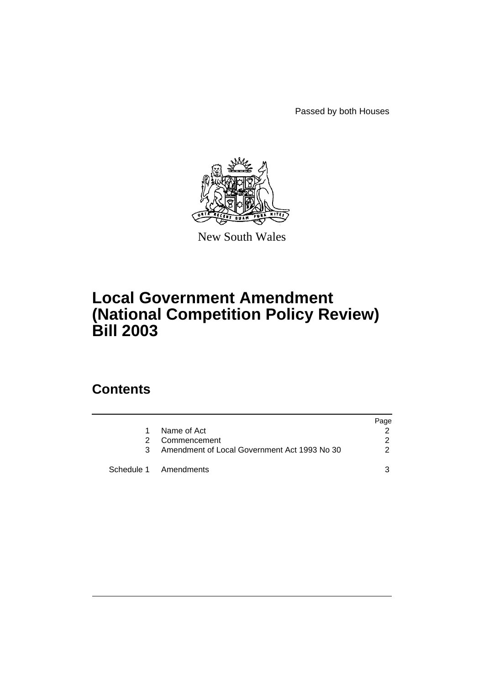Passed by both Houses



New South Wales

## **Local Government Amendment (National Competition Policy Review) Bill 2003**

### **Contents**

|    |                                              | Page |
|----|----------------------------------------------|------|
| 1. | Name of Act                                  |      |
| 2. | Commencement                                 | 2    |
| 3  | Amendment of Local Government Act 1993 No 30 | 2    |
|    | Schedule 1 Amendments                        | ว    |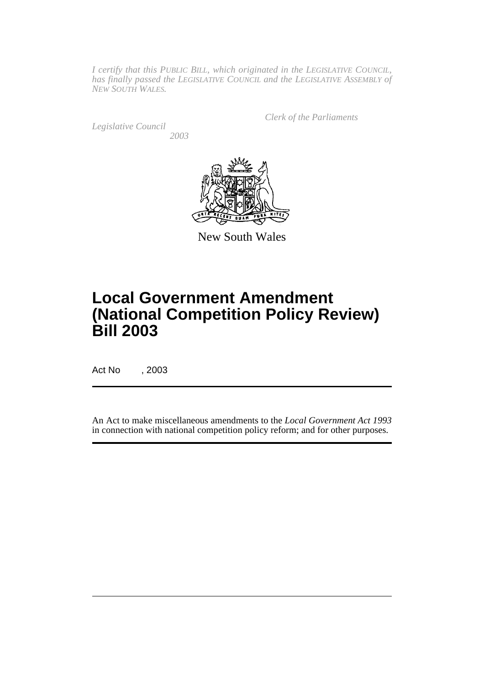*I certify that this PUBLIC BILL, which originated in the LEGISLATIVE COUNCIL, has finally passed the LEGISLATIVE COUNCIL and the LEGISLATIVE ASSEMBLY of NEW SOUTH WALES.*

*Legislative Council 2003* *Clerk of the Parliaments*



New South Wales

# **Local Government Amendment (National Competition Policy Review) Bill 2003**

Act No , 2003

An Act to make miscellaneous amendments to the *Local Government Act 1993* in connection with national competition policy reform; and for other purposes.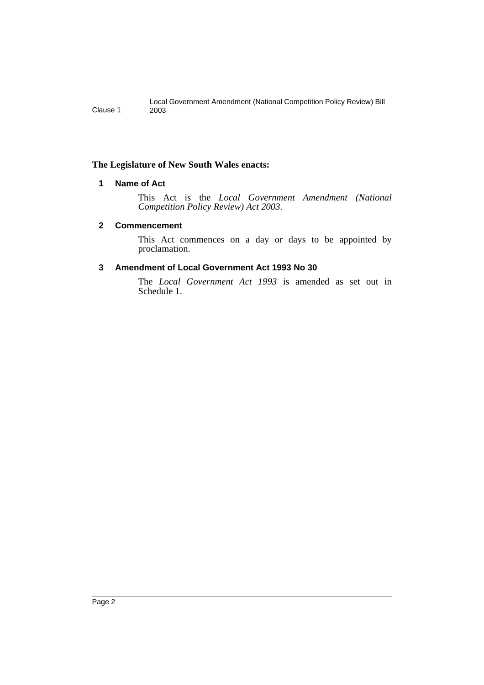#### <span id="page-2-0"></span>**The Legislature of New South Wales enacts:**

#### **1 Name of Act**

This Act is the *Local Government Amendment (National Competition Policy Review) Act 2003*.

#### <span id="page-2-1"></span>**2 Commencement**

This Act commences on a day or days to be appointed by proclamation.

#### <span id="page-2-2"></span>**3 Amendment of Local Government Act 1993 No 30**

The *Local Government Act 1993* is amended as set out in Schedule 1.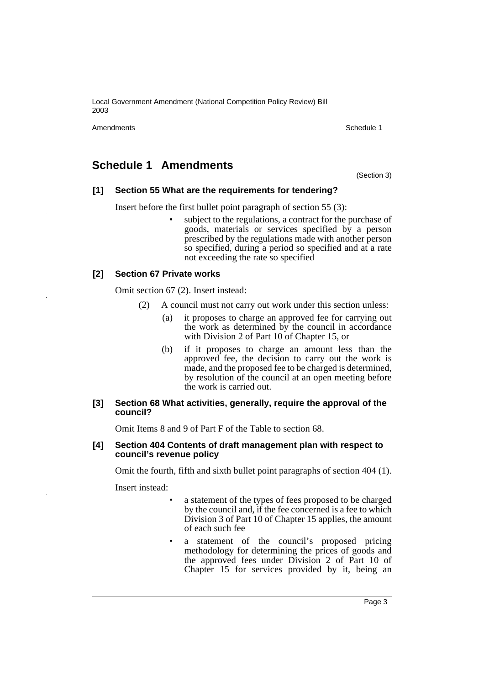Amendments **Schedule 1** Schedule 1

### <span id="page-3-0"></span>**Schedule 1 Amendments**

(Section 3)

#### **[1] Section 55 What are the requirements for tendering?**

Insert before the first bullet point paragraph of section 55 (3):

subject to the regulations, a contract for the purchase of goods, materials or services specified by a person prescribed by the regulations made with another person so specified, during a period so specified and at a rate not exceeding the rate so specified

#### **[2] Section 67 Private works**

Omit section 67 (2). Insert instead:

- (2) A council must not carry out work under this section unless:
	- (a) it proposes to charge an approved fee for carrying out the work as determined by the council in accordance with Division 2 of Part 10 of Chapter 15, or
	- (b) if it proposes to charge an amount less than the approved fee, the decision to carry out the work is made, and the proposed fee to be charged is determined, by resolution of the council at an open meeting before the work is carried out.

#### **[3] Section 68 What activities, generally, require the approval of the council?**

Omit Items 8 and 9 of Part F of the Table to section 68.

#### **[4] Section 404 Contents of draft management plan with respect to council's revenue policy**

Omit the fourth, fifth and sixth bullet point paragraphs of section 404 (1).

Insert instead:

- a statement of the types of fees proposed to be charged by the council and, if the fee concerned is a fee to which Division 3 of Part 10 of Chapter 15 applies, the amount of each such fee
- a statement of the council's proposed pricing methodology for determining the prices of goods and the approved fees under Division 2 of Part 10 of Chapter 15 for services provided by it, being an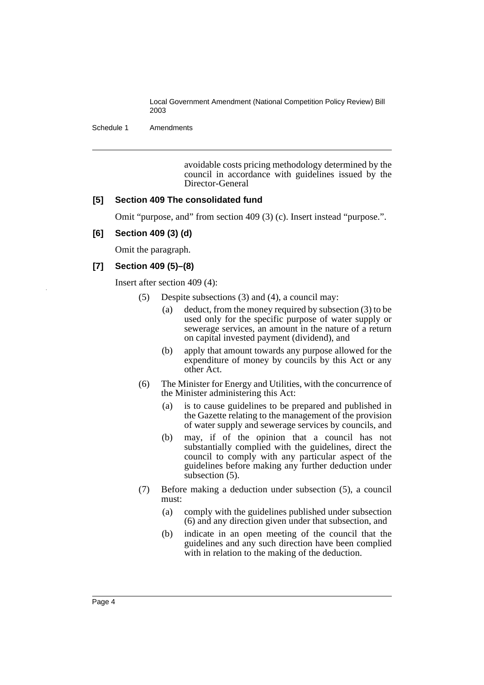Schedule 1 Amendments

avoidable costs pricing methodology determined by the council in accordance with guidelines issued by the Director-General

#### **[5] Section 409 The consolidated fund**

Omit "purpose, and" from section 409 (3) (c). Insert instead "purpose.".

#### **[6] Section 409 (3) (d)**

Omit the paragraph.

#### **[7] Section 409 (5)–(8)**

Insert after section 409 (4):

- (5) Despite subsections (3) and (4), a council may:
	- (a) deduct, from the money required by subsection (3) to be used only for the specific purpose of water supply or sewerage services, an amount in the nature of a return on capital invested payment (dividend), and
	- (b) apply that amount towards any purpose allowed for the expenditure of money by councils by this Act or any other Act.
- (6) The Minister for Energy and Utilities, with the concurrence of the Minister administering this Act:
	- (a) is to cause guidelines to be prepared and published in the Gazette relating to the management of the provision of water supply and sewerage services by councils, and
	- (b) may, if of the opinion that a council has not substantially complied with the guidelines, direct the council to comply with any particular aspect of the guidelines before making any further deduction under subsection  $(5)$ .
- (7) Before making a deduction under subsection (5), a council must:
	- (a) comply with the guidelines published under subsection (6) and any direction given under that subsection, and
	- (b) indicate in an open meeting of the council that the guidelines and any such direction have been complied with in relation to the making of the deduction.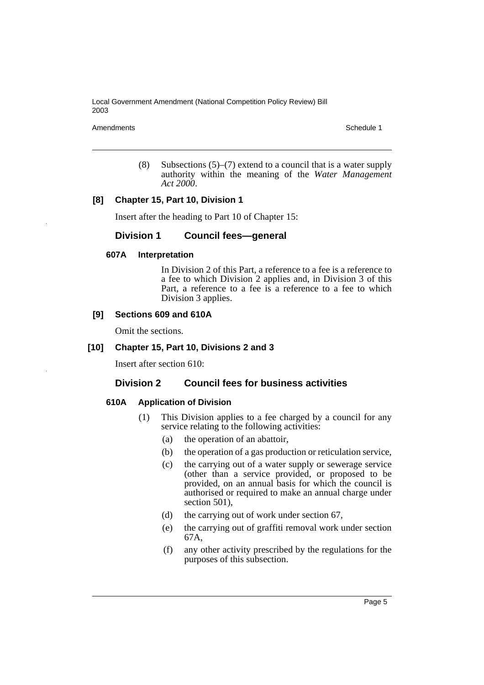Amendments Schedule 1

(8) Subsections  $(5)$ – $(7)$  extend to a council that is a water supply authority within the meaning of the *Water Management Act 2000*.

#### **[8] Chapter 15, Part 10, Division 1**

Insert after the heading to Part 10 of Chapter 15:

#### **Division 1 Council fees—general**

#### **607A Interpretation**

In Division 2 of this Part, a reference to a fee is a reference to a fee to which Division 2 applies and, in Division 3 of this Part, a reference to a fee is a reference to a fee to which Division 3 applies.

#### **[9] Sections 609 and 610A**

Omit the sections.

#### **[10] Chapter 15, Part 10, Divisions 2 and 3**

Insert after section 610:

#### **Division 2 Council fees for business activities**

#### **610A Application of Division**

- (1) This Division applies to a fee charged by a council for any service relating to the following activities:
	- (a) the operation of an abattoir,
	- (b) the operation of a gas production or reticulation service,
	- (c) the carrying out of a water supply or sewerage service (other than a service provided, or proposed to be provided, on an annual basis for which the council is authorised or required to make an annual charge under section 501),
	- (d) the carrying out of work under section 67,
	- (e) the carrying out of graffiti removal work under section 67A,
	- (f) any other activity prescribed by the regulations for the purposes of this subsection.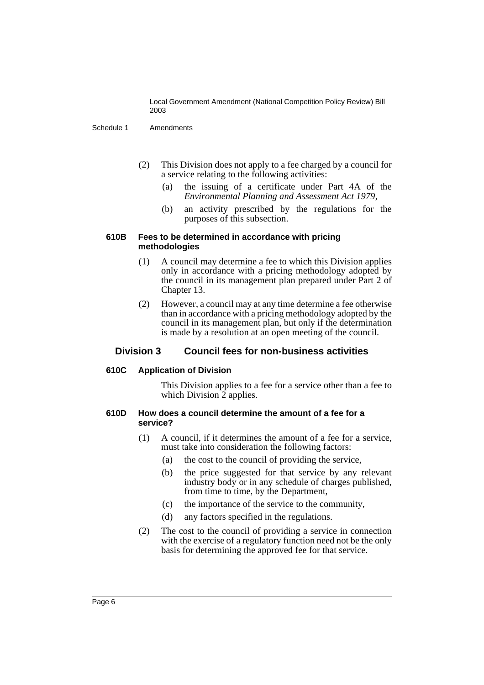Schedule 1 Amendments

- (2) This Division does not apply to a fee charged by a council for a service relating to the following activities:
	- (a) the issuing of a certificate under Part 4A of the *Environmental Planning and Assessment Act 1979*,
	- (b) an activity prescribed by the regulations for the purposes of this subsection.

#### **610B Fees to be determined in accordance with pricing methodologies**

- (1) A council may determine a fee to which this Division applies only in accordance with a pricing methodology adopted by the council in its management plan prepared under Part 2 of Chapter 13.
- (2) However, a council may at any time determine a fee otherwise than in accordance with a pricing methodology adopted by the council in its management plan, but only if the determination is made by a resolution at an open meeting of the council.

#### **Division 3 Council fees for non-business activities**

#### **610C Application of Division**

This Division applies to a fee for a service other than a fee to which Division 2 applies.

#### **610D How does a council determine the amount of a fee for a service?**

- (1) A council, if it determines the amount of a fee for a service, must take into consideration the following factors:
	- (a) the cost to the council of providing the service,
	- (b) the price suggested for that service by any relevant industry body or in any schedule of charges published, from time to time, by the Department,
	- (c) the importance of the service to the community,
	- (d) any factors specified in the regulations.
- (2) The cost to the council of providing a service in connection with the exercise of a regulatory function need not be the only basis for determining the approved fee for that service.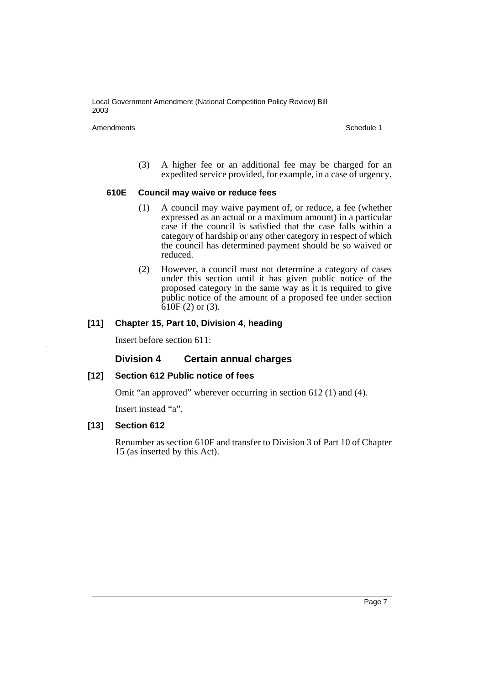Amendments Schedule 1

(3) A higher fee or an additional fee may be charged for an expedited service provided, for example, in a case of urgency.

#### **610E Council may waive or reduce fees**

- (1) A council may waive payment of, or reduce, a fee (whether expressed as an actual or a maximum amount) in a particular case if the council is satisfied that the case falls within a category of hardship or any other category in respect of which the council has determined payment should be so waived or reduced.
- (2) However, a council must not determine a category of cases under this section until it has given public notice of the proposed category in the same way as it is required to give public notice of the amount of a proposed fee under section  $610F(2)$  or  $(3)$ .

#### **[11] Chapter 15, Part 10, Division 4, heading**

Insert before section 611:

#### **Division 4 Certain annual charges**

#### **[12] Section 612 Public notice of fees**

Omit "an approved" wherever occurring in section 612 (1) and (4).

Insert instead "a".

#### **[13] Section 612**

Renumber as section 610F and transfer to Division 3 of Part 10 of Chapter 15 (as inserted by this Act).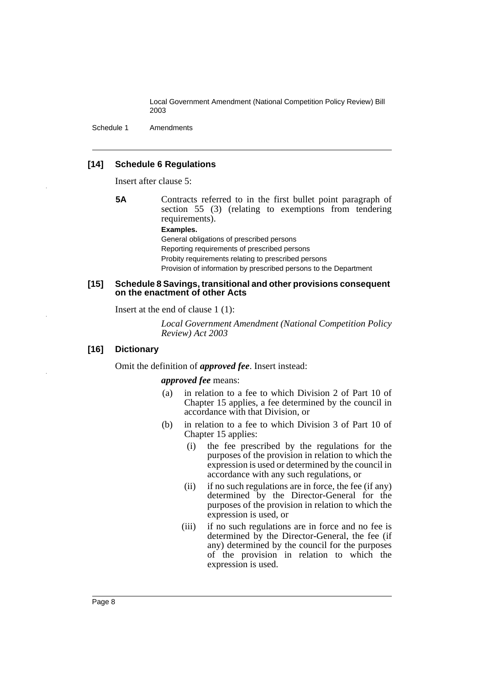Schedule 1 Amendments

#### **[14] Schedule 6 Regulations**

Insert after clause 5:

**5A** Contracts referred to in the first bullet point paragraph of section 55 (3) (relating to exemptions from tendering requirements).

**Examples.**

General obligations of prescribed persons Reporting requirements of prescribed persons Probity requirements relating to prescribed persons Provision of information by prescribed persons to the Department

#### **[15] Schedule 8 Savings, transitional and other provisions consequent on the enactment of other Acts**

Insert at the end of clause 1 (1):

*Local Government Amendment (National Competition Policy Review) Act 2003*

#### **[16] Dictionary**

Omit the definition of *approved fee*. Insert instead:

#### *approved fee* means:

- (a) in relation to a fee to which Division 2 of Part 10 of Chapter 15 applies, a fee determined by the council in accordance with that Division, or
- (b) in relation to a fee to which Division 3 of Part 10 of Chapter 15 applies:
	- (i) the fee prescribed by the regulations for the purposes of the provision in relation to which the expression is used or determined by the council in accordance with any such regulations, or
	- (ii) if no such regulations are in force, the fee (if any) determined by the Director-General for the purposes of the provision in relation to which the expression is used, or
	- (iii) if no such regulations are in force and no fee is determined by the Director-General, the fee (if any) determined by the council for the purposes of the provision in relation to which the expression is used.